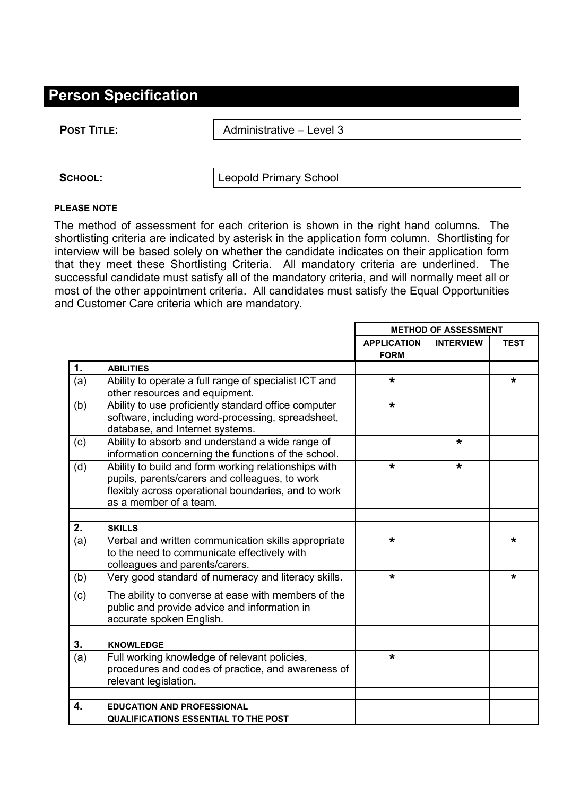## **Person Specification**

**POST TITLE:**  $\vert$  Administrative – Level 3

SCHOOL: **Leopold Primary School** 

## **PLEASE NOTE**

The method of assessment for each criterion is shown in the right hand columns. The shortlisting criteria are indicated by asterisk in the application form column. Shortlisting for interview will be based solely on whether the candidate indicates on their application form that they meet these Shortlisting Criteria. All mandatory criteria are underlined. The successful candidate must satisfy all of the mandatory criteria, and will normally meet all or most of the other appointment criteria. All candidates must satisfy the Equal Opportunities and Customer Care criteria which are mandatory.

|     |                                                                                                                                                                                         | <b>METHOD OF ASSESSMENT</b>       |                  |             |
|-----|-----------------------------------------------------------------------------------------------------------------------------------------------------------------------------------------|-----------------------------------|------------------|-------------|
|     |                                                                                                                                                                                         | <b>APPLICATION</b><br><b>FORM</b> | <b>INTERVIEW</b> | <b>TEST</b> |
| 1.  | <b>ABILITIES</b>                                                                                                                                                                        |                                   |                  |             |
| (a) | Ability to operate a full range of specialist ICT and<br>other resources and equipment.                                                                                                 | *                                 |                  | *           |
| (b) | Ability to use proficiently standard office computer<br>software, including word-processing, spreadsheet,<br>database, and Internet systems.                                            | $\star$                           |                  |             |
| (c) | Ability to absorb and understand a wide range of<br>information concerning the functions of the school.                                                                                 |                                   | *                |             |
| (d) | Ability to build and form working relationships with<br>pupils, parents/carers and colleagues, to work<br>flexibly across operational boundaries, and to work<br>as a member of a team. | $\star$                           | *                |             |
| 2.  | <b>SKILLS</b>                                                                                                                                                                           |                                   |                  |             |
| (a) | Verbal and written communication skills appropriate<br>to the need to communicate effectively with<br>colleagues and parents/carers.                                                    | $\star$                           |                  | *           |
| (b) | Very good standard of numeracy and literacy skills.                                                                                                                                     | *                                 |                  | *           |
| (c) | The ability to converse at ease with members of the<br>public and provide advice and information in<br>accurate spoken English.                                                         |                                   |                  |             |
| 3.  | <b>KNOWLEDGE</b>                                                                                                                                                                        |                                   |                  |             |
| (a) | Full working knowledge of relevant policies,<br>procedures and codes of practice, and awareness of<br>relevant legislation.                                                             | *                                 |                  |             |
| 4.  | <b>EDUCATION AND PROFESSIONAL</b><br><b>QUALIFICATIONS ESSENTIAL TO THE POST</b>                                                                                                        |                                   |                  |             |